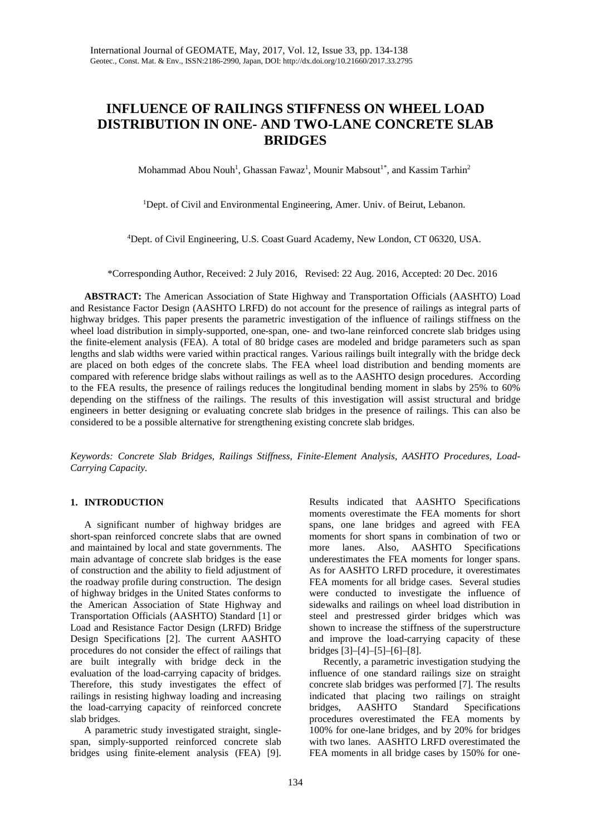# **INFLUENCE OF RAILINGS STIFFNESS ON WHEEL LOAD DISTRIBUTION IN ONE- AND TWO-LANE CONCRETE SLAB BRIDGES**

Mohammad Abou Nouh<sup>1</sup>, Ghassan Fawaz<sup>1</sup>, Mounir Mabsout<sup>1\*</sup>, and Kassim Tarhin<sup>2</sup>

<sup>1</sup>Dept. of Civil and Environmental Engineering, Amer. Univ. of Beirut, Lebanon.

4 Dept. of Civil Engineering, U.S. Coast Guard Academy, New London, CT 06320, USA.

\*Corresponding Author, Received: 2 July 2016, Revised: 22 Aug. 2016, Accepted: 20 Dec. 2016

**ABSTRACT:** The American Association of State Highway and Transportation Officials (AASHTO) Load and Resistance Factor Design (AASHTO LRFD) do not account for the presence of railings as integral parts of highway bridges. This paper presents the parametric investigation of the influence of railings stiffness on the wheel load distribution in simply-supported, one-span, one- and two-lane reinforced concrete slab bridges using the finite-element analysis (FEA). A total of 80 bridge cases are modeled and bridge parameters such as span lengths and slab widths were varied within practical ranges. Various railings built integrally with the bridge deck are placed on both edges of the concrete slabs. The FEA wheel load distribution and bending moments are compared with reference bridge slabs without railings as well as to the AASHTO design procedures. According to the FEA results, the presence of railings reduces the longitudinal bending moment in slabs by 25% to 60% depending on the stiffness of the railings. The results of this investigation will assist structural and bridge engineers in better designing or evaluating concrete slab bridges in the presence of railings. This can also be considered to be a possible alternative for strengthening existing concrete slab bridges.

*Keywords: Concrete Slab Bridges, Railings Stiffness, Finite-Element Analysis, AASHTO Procedures, Load-Carrying Capacity.*

## **1. INTRODUCTION**

A significant number of highway bridges are short-span reinforced concrete slabs that are owned and maintained by local and state governments. The main advantage of concrete slab bridges is the ease of construction and the ability to field adjustment of the roadway profile during construction. The design of highway bridges in the United States conforms to the American Association of State Highway and Transportation Officials (AASHTO) Standard [1] or Load and Resistance Factor Design (LRFD) Bridge Design Specifications [2]. The current AASHTO procedures do not consider the effect of railings that are built integrally with bridge deck in the evaluation of the load-carrying capacity of bridges. Therefore, this study investigates the effect of railings in resisting highway loading and increasing the load-carrying capacity of reinforced concrete slab bridges.

A parametric study investigated straight, singlespan, simply-supported reinforced concrete slab bridges using finite-element analysis (FEA) [9].

Results indicated that AASHTO Specifications moments overestimate the FEA moments for short spans, one lane bridges and agreed with FEA moments for short spans in combination of two or more lanes. Also, AASHTO Specifications underestimates the FEA moments for longer spans. As for AASHTO LRFD procedure, it overestimates FEA moments for all bridge cases. Several studies were conducted to investigate the influence of sidewalks and railings on wheel load distribution in steel and prestressed girder bridges which was shown to increase the stiffness of the superstructure and improve the load-carrying capacity of these bridges [3]–[4]–[5]–[6]–[8].

Recently, a parametric investigation studying the influence of one standard railings size on straight concrete slab bridges was performed [7]. The results indicated that placing two railings on straight bridges, AASHTO Standard Specifications procedures overestimated the FEA moments by 100% for one-lane bridges, and by 20% for bridges with two lanes. AASHTO LRFD overestimated the FEA moments in all bridge cases by 150% for one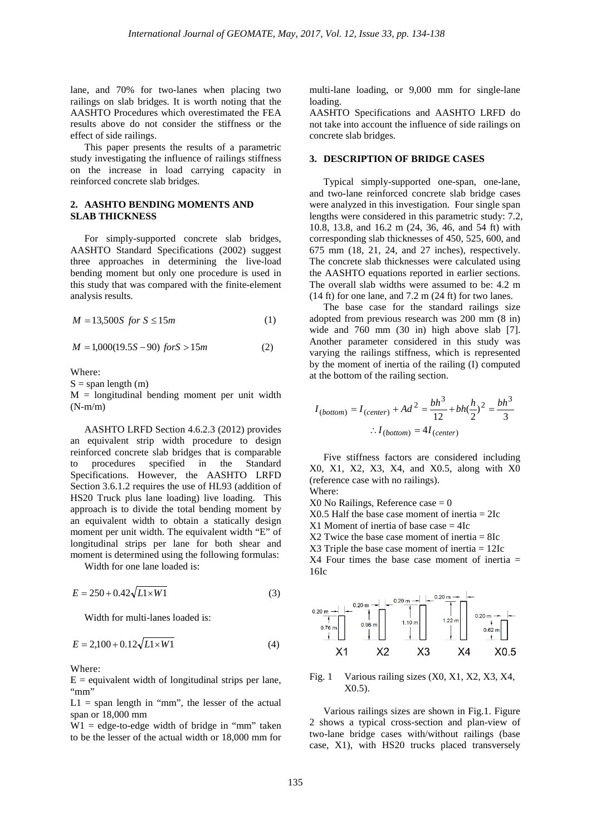lane, and 70% for two-lanes when placing two railings on slab bridges. It is worth noting that the AASHTO Procedures which overestimated the FEA results above do not consider the stiffness or the effect of side railings.

This paper presents the results of a parametric study investigating the influence of railings stiffness on the increase in load carrying capacity in reinforced concrete slab bridges.

# **2. AASHTO BENDING MOMENTS AND SLAB THICKNESS**

For simply-supported concrete slab bridges, AASHTO Standard Specifications (2002) suggest three approaches in determining the live-load bending moment but only one procedure is used in this study that was compared with the finite-element analysis results.

$$
M = 13,500S \text{ for } S \le 15m \tag{1}
$$

$$
M = 1,000(19.5S - 90) \text{ for } S > 15m \tag{2}
$$

Where:

 $S = span length (m)$ 

 $M =$  longitudinal bending moment per unit width  $(N-m/m)$ 

AASHTO LRFD Section 4.6.2.3 (2012) provides an equivalent strip width procedure to design reinforced concrete slab bridges that is comparable to procedures specified in the Standard Specifications. However, the AASHTO LRFD Section 3.6.1.2 requires the use of HL93 (addition of HS20 Truck plus lane loading) live loading. This approach is to divide the total bending moment by an equivalent width to obtain a statically design moment per unit width. The equivalent width "E" of longitudinal strips per lane for both shear and moment is determined using the following formulas:

Width for one lane loaded is:

$$
E = 250 + 0.42\sqrt{L1 \times W1}
$$
 (3)

Width for multi-lanes loaded is:

$$
E = 2,100 + 0.12\sqrt{L1 \times W1}
$$
 (4)

Where:

 $E =$  equivalent width of longitudinal strips per lane, "mm"

 $L1 =$  span length in "mm", the lesser of the actual span or 18,000 mm

 $W1 =$  edge-to-edge width of bridge in "mm" taken to be the lesser of the actual width or 18,000 mm for multi-lane loading, or 9,000 mm for single-lane loading.

AASHTO Specifications and AASHTO LRFD do not take into account the influence of side railings on concrete slab bridges.

# **3. DESCRIPTION OF BRIDGE CASES**

Typical simply-supported one-span, one-lane, and two-lane reinforced concrete slab bridge cases were analyzed in this investigation. Four single span lengths were considered in this parametric study: 7.2, 10.8, 13.8, and 16.2 m (24, 36, 46, and 54 ft) with corresponding slab thicknesses of 450, 525, 600, and 675 mm (18, 21, 24, and 27 inches), respectively. The concrete slab thicknesses were calculated using the AASHTO equations reported in earlier sections. The overall slab widths were assumed to be: 4.2 m  $(14 \text{ ft})$  for one lane, and 7.2 m  $(24 \text{ ft})$  for two lanes.

The base case for the standard railings size adopted from previous research was 200 mm (8 in) wide and 760 mm (30 in) high above slab [7]. Another parameter considered in this study was varying the railings stiffness, which is represented by the moment of inertia of the railing (I) computed at the bottom of the railing section.

$$
I_{(bottom)} = I_{(center)} + Ad^2 = \frac{bh^3}{12} + bh(\frac{h}{2})^2 = \frac{bh^3}{3}
$$

$$
\therefore I_{(bottom)} = 4I_{(center)}
$$

Five stiffness factors are considered including X0, X1, X2, X3, X4, and X0.5, along with X0 (reference case with no railings). Where:

 $X0$  No Railings, Reference case  $= 0$ 

X0.5 Half the base case moment of inertia = 2Ic

 $X1$  Moment of inertia of base case  $= 4Ic$ 

 $X2$  Twice the base case moment of inertia = 8Ic

X3 Triple the base case moment of inertia = 12Ic

X4 Four times the base case moment of inertia = 16Ic



Fig. 1 Various railing sizes (X0, X1, X2, X3, X4, X0.5).

Various railings sizes are shown in Fig.1. Figure 2 shows a typical cross-section and plan-view of two-lane bridge cases with/without railings (base case, X1), with HS20 trucks placed transversely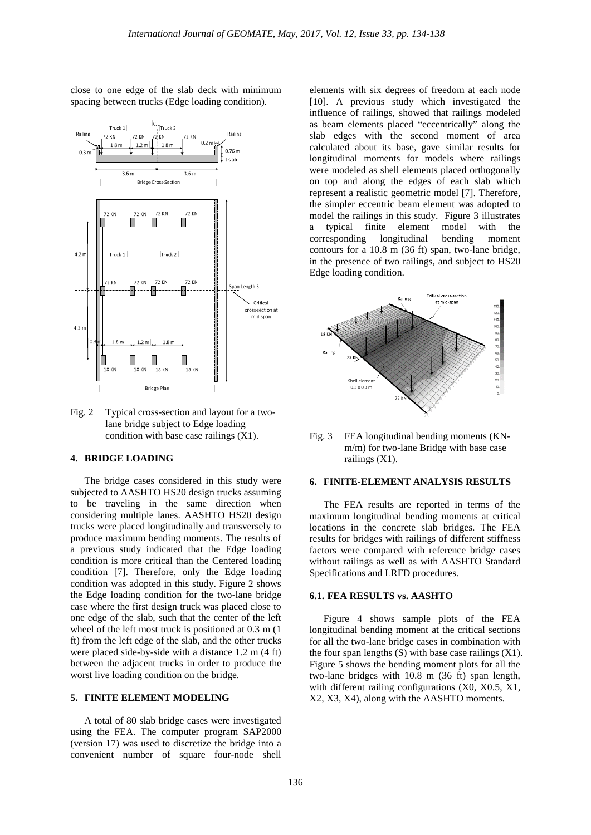close to one edge of the slab deck with minimum spacing between trucks (Edge loading condition).



Fig. 2 Typical cross-section and layout for a twolane bridge subject to Edge loading condition with base case railings (X1).

#### **4. BRIDGE LOADING**

The bridge cases considered in this study were subjected to AASHTO HS20 design trucks assuming to be traveling in the same direction when considering multiple lanes. AASHTO HS20 design trucks were placed longitudinally and transversely to produce maximum bending moments. The results of a previous study indicated that the Edge loading condition is more critical than the Centered loading condition [7]. Therefore, only the Edge loading condition was adopted in this study. Figure 2 shows the Edge loading condition for the two-lane bridge case where the first design truck was placed close to one edge of the slab, such that the center of the left wheel of the left most truck is positioned at 0.3 m (1 ft) from the left edge of the slab, and the other trucks were placed side-by-side with a distance 1.2 m (4 ft) between the adjacent trucks in order to produce the worst live loading condition on the bridge.

#### **5. FINITE ELEMENT MODELING**

A total of 80 slab bridge cases were investigated using the FEA. The computer program SAP2000 (version 17) was used to discretize the bridge into a convenient number of square four-node shell elements with six degrees of freedom at each node [10]. A previous study which investigated the influence of railings, showed that railings modeled as beam elements placed "eccentrically" along the slab edges with the second moment of area calculated about its base, gave similar results for longitudinal moments for models where railings were modeled as shell elements placed orthogonally on top and along the edges of each slab which represent a realistic geometric model [7]. Therefore, the simpler eccentric beam element was adopted to model the railings in this study. Figure 3 illustrates a typical finite element model with the corresponding longitudinal bending moment contours for a 10.8 m (36 ft) span, two-lane bridge, in the presence of two railings, and subject to HS20 Edge loading condition.





## **6. FINITE-ELEMENT ANALYSIS RESULTS**

The FEA results are reported in terms of the maximum longitudinal bending moments at critical locations in the concrete slab bridges. The FEA results for bridges with railings of different stiffness factors were compared with reference bridge cases without railings as well as with AASHTO Standard Specifications and LRFD procedures.

## **6.1. FEA RESULTS vs. AASHTO**

Figure 4 shows sample plots of the FEA longitudinal bending moment at the critical sections for all the two-lane bridge cases in combination with the four span lengths  $(S)$  with base case railings  $(X1)$ . Figure 5 shows the bending moment plots for all the two-lane bridges with 10.8 m (36 ft) span length, with different railing configurations (X0, X0.5, X1, X2, X3, X4), along with the AASHTO moments.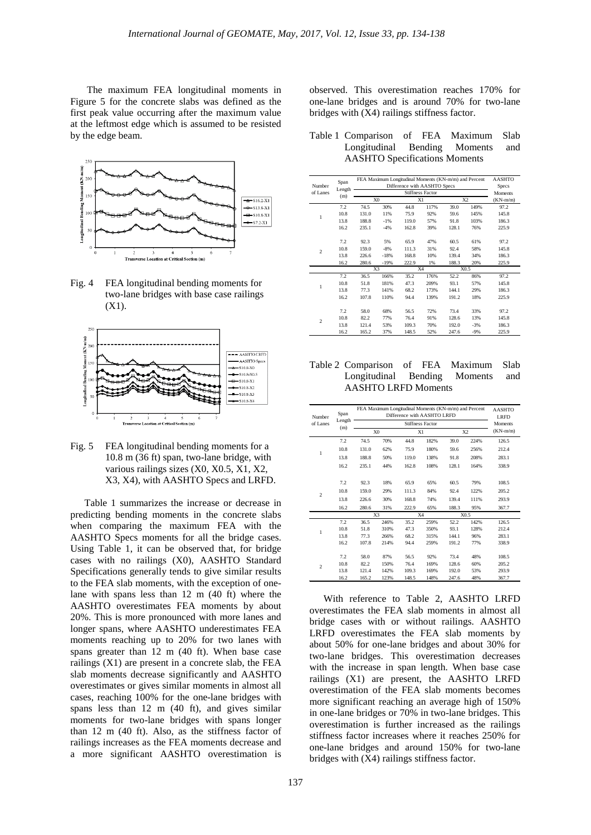The maximum FEA longitudinal moments in Figure 5 for the concrete slabs was defined as the first peak value occurring after the maximum value at the leftmost edge which is assumed to be resisted by the edge beam.



Fig. 4 FEA longitudinal bending moments for two-lane bridges with base case railings (X1).



Fig. 5 FEA longitudinal bending moments for a 10.8 m (36 ft) span, two-lane bridge, with various railings sizes (X0, X0.5, X1, X2, X3, X4), with AASHTO Specs and LRFD.

Table 1 summarizes the increase or decrease in predicting bending moments in the concrete slabs when comparing the maximum FEA with the AASHTO Specs moments for all the bridge cases. Using Table 1, it can be observed that, for bridge cases with no railings (X0), AASHTO Standard Specifications generally tends to give similar results to the FEA slab moments, with the exception of onelane with spans less than 12 m (40 ft) where the AASHTO overestimates FEA moments by about 20%. This is more pronounced with more lanes and longer spans, where AASHTO underestimates FEA moments reaching up to 20% for two lanes with spans greater than 12 m (40 ft). When base case railings (X1) are present in a concrete slab, the FEA slab moments decrease significantly and AASHTO overestimates or gives similar moments in almost all cases, reaching 100% for the one-lane bridges with spans less than 12 m (40 ft), and gives similar moments for two-lane bridges with spans longer than 12 m (40 ft). Also, as the stiffness factor of railings increases as the FEA moments decrease and a more significant AASHTO overestimation is observed. This overestimation reaches 170% for one-lane bridges and is around 70% for two-lane bridges with (X4) railings stiffness factor.

| Table 1 Comparison of FEA Maximum Slab |  |  |
|----------------------------------------|--|--|
| Longitudinal Bending Moments and       |  |  |
| <b>AASHTO Specifications Moments</b>   |  |  |

|                    | Span   | FEA Maximum Longitudinal Moments (KN-m/m) and Percent | <b>AASHTO</b>  |       |      |       |                |            |
|--------------------|--------|-------------------------------------------------------|----------------|-------|------|-------|----------------|------------|
| Number<br>of Lanes | Length |                                                       | Specs          |       |      |       |                |            |
|                    | (m)    |                                                       | Moments        |       |      |       |                |            |
|                    |        |                                                       | X <sub>0</sub> | X1    |      |       | X <sub>2</sub> | $(KN-m/m)$ |
|                    | 7.2    | 74.5                                                  | 30%            | 44.8  | 117% | 39.0  | 149%           | 97.2       |
| 1                  | 10.8   | 131.0                                                 | 11%            | 75.9  | 92%  | 59.6  | 145%           | 145.8      |
|                    | 13.8   | 188.8                                                 | $-1%$          | 119.0 | 57%  | 91.8  | 103%           | 186.3      |
|                    | 16.2   | 235.1                                                 | $-4%$          | 162.8 | 39%  | 128.1 | 76%            | 225.9      |
|                    |        |                                                       |                |       |      |       |                |            |
|                    | 7.2    | 92.3                                                  | 5%             | 65.9  | 47%  | 60.5  | 61%            | 97.2       |
| $\overline{c}$     | 10.8   | 159.0                                                 | $-8%$          | 111.3 | 31%  | 92.4  | 58%            | 145.8      |
|                    | 13.8   | 226.6                                                 | $-18%$         | 168.8 | 10%  | 139.4 | 34%            | 186.3      |
|                    | 16.2   | 280.6                                                 | $-19%$         | 222.9 | 1%   | 188.3 | 20%            | 225.9      |
|                    |        | X3                                                    |                | X4    |      | X0.5  |                |            |
|                    | 7.2    | 36.5                                                  | 166%           | 35.2  | 176% | 52.2  | 86%            | 97.2       |
| 1                  | 10.8   | 51.8                                                  | 181%           | 47.3  | 209% | 93.1  | 57%            | 145.8      |
|                    | 13.8   | 77.3                                                  | 141%           | 68.2  | 173% | 144.1 | 29%            | 186.3      |
|                    | 16.2   | 107.8                                                 | 110%           | 94.4  | 139% | 191.2 | 18%            | 225.9      |
|                    |        |                                                       |                |       |      |       |                |            |
| $\overline{c}$     | 7.2    | 58.0                                                  | 68%            | 56.5  | 72%  | 73.4  | 33%            | 97.2       |
|                    | 10.8   | 82.2                                                  | 77%            | 76.4  | 91%  | 128.6 | 13%            | 145.8      |
|                    | 13.8   | 121.4                                                 | 53%            | 109.3 | 70%  | 192.0 | $-3%$          | 186.3      |
|                    | 16.2   | 165.2                                                 | 37%            | 148.5 | 52%  | 247.6 | $-9%$          | 225.9      |

### Table 2 Comparison of FEA Maximum Slab Longitudinal Bending Moments and AASHTO LRFD Moments

| Number         | Span   | FEA Maximum Longitudinal Moments (KN-m/m) and Percent | <b>AASHTO</b><br><b>LRFD</b> |       |              |       |      |            |
|----------------|--------|-------------------------------------------------------|------------------------------|-------|--------------|-------|------|------------|
| of Lanes       | Length |                                                       | <b>Moments</b>               |       |              |       |      |            |
|                | (m)    |                                                       | X <sub>0</sub>               | X1    |              |       | X2   | $(KN-m/m)$ |
|                | 7.2    | 74.5                                                  | 70%                          | 44.8  | 182%         | 39.0  | 224% | 126.5      |
|                | 10.8   | 131.0                                                 | 62%                          | 75.9  | 180%         | 59.6  | 256% | 212.4      |
| 1              | 13.8   | 188.8                                                 | 50%                          | 119.0 | 138%         | 91.8  | 208% | 283.1      |
|                | 16.2   | 235.1                                                 | 44%                          | 162.8 | 108%         | 128.1 | 164% | 338.9      |
|                |        |                                                       |                              |       |              |       |      |            |
|                | 7.2    | 92.3                                                  | 18%                          | 65.9  | 65%          | 60.5  | 79%  | 108.5      |
| $\overline{c}$ | 10.8   | 159.0                                                 | 29%                          | 111.3 | 84%          | 92.4  | 122% | 205.2      |
|                | 13.8   | 226.6                                                 | 30%                          | 168.8 | 74%          | 139.4 | 111% | 293.9      |
|                | 16.2   | 280.6                                                 | 31%                          | 222.9 | 65%          | 188.3 | 95%  | 367.7      |
|                |        | X3                                                    |                              | X4    |              | X0.5  |      |            |
|                | 7.2    | 36.5                                                  | 246%                         | 35.2  | 259%         | 52.2  | 142% | 126.5      |
| 1              | 10.8   | 51.8                                                  | 310%                         | 47.3  | 350%         | 93.1  | 128% | 212.4      |
|                | 13.8   | 77.3                                                  | 266%                         | 68.2  | 315%         | 144.1 | 96%  | 283.1      |
|                | 16.2   | 107.8                                                 | 214%                         | 94.4  | 259%         | 191.2 | 77%  | 338.9      |
|                | 7.2    | 58.0                                                  | 87%                          | 56.5  | 92%          | 73.4  | 48%  | 108.5      |
| $\overline{c}$ | 10.8   | 82.2                                                  | 150%                         | 76.4  |              | 128.6 | 60%  | 205.2      |
|                | 13.8   | 121.4                                                 | 142%                         | 109.3 | 169%         | 192.0 | 53%  | 293.9      |
|                | 16.2   | 165.2                                                 | 123%                         | 148.5 | 169%<br>148% | 247.6 | 48%  | 367.7      |
|                |        |                                                       |                              |       |              |       |      |            |

With reference to Table 2, AASHTO LRFD overestimates the FEA slab moments in almost all bridge cases with or without railings. AASHTO LRFD overestimates the FEA slab moments by about 50% for one-lane bridges and about 30% for two-lane bridges. This overestimation decreases with the increase in span length. When base case railings (X1) are present, the AASHTO LRFD overestimation of the FEA slab moments becomes more significant reaching an average high of 150% in one-lane bridges or 70% in two-lane bridges. This overestimation is further increased as the railings stiffness factor increases where it reaches 250% for one-lane bridges and around 150% for two-lane bridges with (X4) railings stiffness factor.